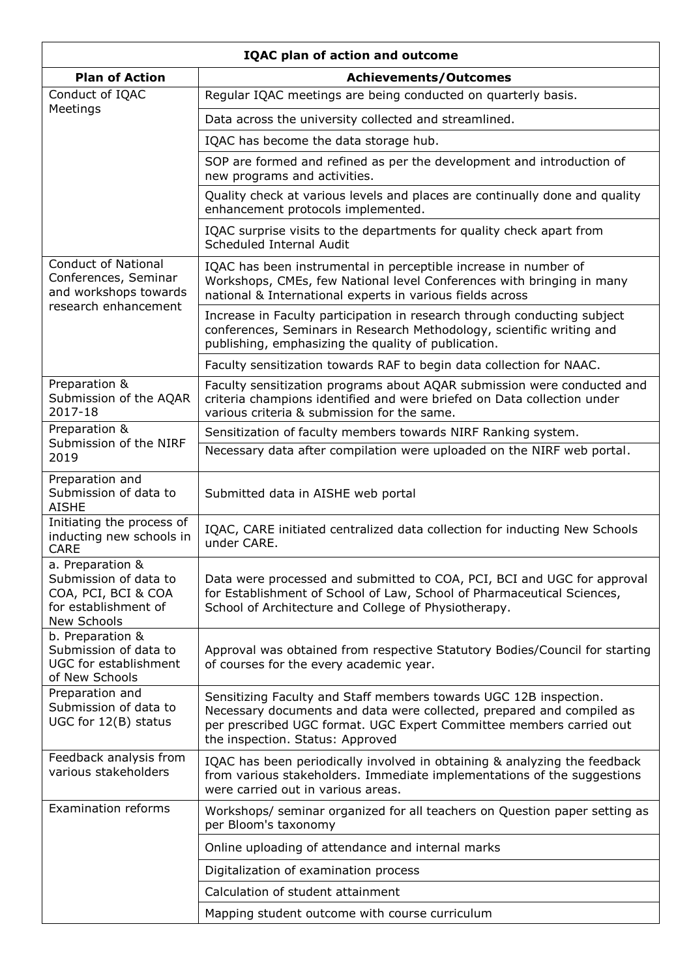| <b>IQAC plan of action and outcome</b>                                                                  |                                                                                                                                                                                                                                                       |  |
|---------------------------------------------------------------------------------------------------------|-------------------------------------------------------------------------------------------------------------------------------------------------------------------------------------------------------------------------------------------------------|--|
| <b>Plan of Action</b>                                                                                   | <b>Achievements/Outcomes</b>                                                                                                                                                                                                                          |  |
| Conduct of IQAC                                                                                         | Regular IQAC meetings are being conducted on quarterly basis.                                                                                                                                                                                         |  |
| Meetings                                                                                                | Data across the university collected and streamlined.                                                                                                                                                                                                 |  |
|                                                                                                         | IQAC has become the data storage hub.                                                                                                                                                                                                                 |  |
|                                                                                                         | SOP are formed and refined as per the development and introduction of<br>new programs and activities.                                                                                                                                                 |  |
|                                                                                                         | Quality check at various levels and places are continually done and quality<br>enhancement protocols implemented.                                                                                                                                     |  |
|                                                                                                         | IQAC surprise visits to the departments for quality check apart from<br>Scheduled Internal Audit                                                                                                                                                      |  |
| <b>Conduct of National</b><br>Conferences, Seminar<br>and workshops towards<br>research enhancement     | IQAC has been instrumental in perceptible increase in number of<br>Workshops, CMEs, few National level Conferences with bringing in many<br>national & International experts in various fields across                                                 |  |
|                                                                                                         | Increase in Faculty participation in research through conducting subject<br>conferences, Seminars in Research Methodology, scientific writing and<br>publishing, emphasizing the quality of publication.                                              |  |
|                                                                                                         | Faculty sensitization towards RAF to begin data collection for NAAC.                                                                                                                                                                                  |  |
| Preparation &<br>Submission of the AQAR<br>2017-18                                                      | Faculty sensitization programs about AQAR submission were conducted and<br>criteria champions identified and were briefed on Data collection under<br>various criteria & submission for the same.                                                     |  |
| Preparation &<br>Submission of the NIRF<br>2019                                                         | Sensitization of faculty members towards NIRF Ranking system.                                                                                                                                                                                         |  |
|                                                                                                         | Necessary data after compilation were uploaded on the NIRF web portal.                                                                                                                                                                                |  |
| Preparation and<br>Submission of data to<br><b>AISHE</b>                                                | Submitted data in AISHE web portal                                                                                                                                                                                                                    |  |
| Initiating the process of<br>inducting new schools in<br><b>CARE</b>                                    | IQAC, CARE initiated centralized data collection for inducting New Schools<br>under CARE.                                                                                                                                                             |  |
| a. Preparation &<br>Submission of data to<br>COA, PCI, BCI & COA<br>for establishment of<br>New Schools | Data were processed and submitted to COA, PCI, BCI and UGC for approval<br>for Establishment of School of Law, School of Pharmaceutical Sciences,<br>School of Architecture and College of Physiotherapy.                                             |  |
| b. Preparation &<br>Submission of data to<br><b>UGC for establishment</b><br>of New Schools             | Approval was obtained from respective Statutory Bodies/Council for starting<br>of courses for the every academic year.                                                                                                                                |  |
| Preparation and<br>Submission of data to<br>UGC for 12(B) status                                        | Sensitizing Faculty and Staff members towards UGC 12B inspection.<br>Necessary documents and data were collected, prepared and compiled as<br>per prescribed UGC format. UGC Expert Committee members carried out<br>the inspection. Status: Approved |  |
| Feedback analysis from<br>various stakeholders                                                          | IQAC has been periodically involved in obtaining & analyzing the feedback<br>from various stakeholders. Immediate implementations of the suggestions<br>were carried out in various areas.                                                            |  |
| <b>Examination reforms</b>                                                                              | Workshops/ seminar organized for all teachers on Question paper setting as<br>per Bloom's taxonomy                                                                                                                                                    |  |
|                                                                                                         | Online uploading of attendance and internal marks                                                                                                                                                                                                     |  |
|                                                                                                         | Digitalization of examination process                                                                                                                                                                                                                 |  |
|                                                                                                         | Calculation of student attainment                                                                                                                                                                                                                     |  |
|                                                                                                         | Mapping student outcome with course curriculum                                                                                                                                                                                                        |  |